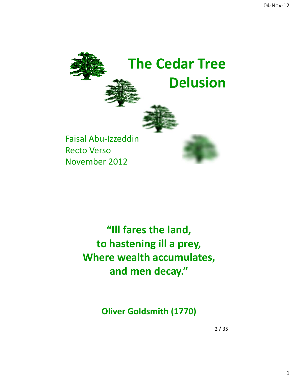

# **"Ill fares the land, to hastening ill a prey, Where wealth accumulates, and men decay."**

**Oliver Goldsmith (1770)**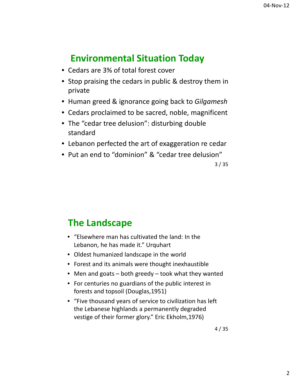# **Environmental Situation Today**

- Cedars are 3% of total forest cover
- Stop praising the cedars in public & destroy them in private
- Human greed & ignorance going back to *Gilgamesh*
- Cedars proclaimed to be sacred, noble, magnificent
- The "cedar tree delusion": disturbing double standard
- Lebanon perfected the art of exaggeration re cedar
- Put an end to "dominion" & "cedar tree delusion"

3 / 35

## **The Landscape**

- "Elsewhere man has cultivated the land: In the Lebanon, he has made it." Urquhart
- Oldest humanized landscape in the world
- Forest and its animals were thought inexhaustible
- Men and goats both greedy took what they wanted
- For centuries no guardians of the public interest in forests and topsoil (Douglas,1951)
- "Five thousand years of service to civilization has left the Lebanese highlands a permanently degraded vestige of their former glory." Eric Ekholm,1976)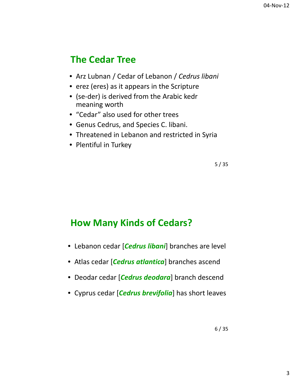# **The Cedar Tree**

- Arz Lubnan / Cedar of Lebanon / *Cedrus libani*
- erez (eres) as it appears in the Scripture
- (se‐der) is derived from the Arabic kedr meaning worth
- "Cedar" also used for other trees
- Genus Cedrus, and Species C. libani.
- Threatened in Lebanon and restricted in Syria
- Plentiful in Turkey

5 / 35

## **How Many Kinds of Cedars?**

- Lebanon cedar [*Cedrus libani*] branches are level
- Atlas cedar [*Cedrus atlantica*] branches ascend
- Deodar cedar [*Cedrus deodara*] branch descend
- Cyprus cedar [*Cedrus brevifolia*] has short leaves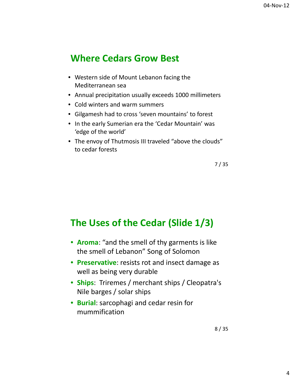#### **Where Cedars Grow Best**

- Western side of Mount Lebanon facing the Mediterranean sea
- Annual precipitation usually exceeds 1000 millimeters
- Cold winters and warm summers
- Gilgamesh had to cross 'seven mountains' to forest
- In the early Sumerian era the 'Cedar Mountain' was 'edge of the world'
- The envoy of Thutmosis III traveled "above the clouds" to cedar forests

7 / 35

## **The Uses of the Cedar (Slide 1/3)**

- **Aroma**: "and the smell of thy garments is like the smell of Lebanon" Song of Solomon
- **Preservative**: resists rot and insect damage as well as being very durable
- **Ships**: Triremes / merchant ships / Cleopatra's Nile barges / solar ships
- **Burial**: sarcophagi and cedar resin for mummification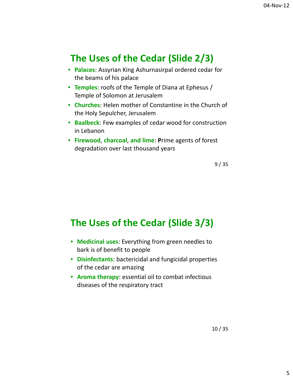# **The Uses of the Cedar (Slide 2/3)**

- **Palaces**: Assyrian King Ashurnasirpal ordered cedar for the beams of his palace
- **Temples**: roofs of the Temple of Diana at Ephesus / Temple of Solomon at Jerusalem
- **Churches**: Helen mother of Constantine in the Church of the Holy Sepulcher, Jerusalem
- **Baalbeck**: Few examples of cedar wood for construction in Lebanon
- **Firewood**, **charcoal**, **and lime**: **P**rime agents of forest degradation over last thousand years

9 / 35

## **The Uses of the Cedar (Slide 3/3)**

- **Medicinal uses**: Everything from green needles to bark is of benefit to people
- **Disinfectants**: bactericidal and fungicidal properties of the cedar are amazing
- **Aroma therapy**: essential oil to combat infectious diseases of the respiratory tract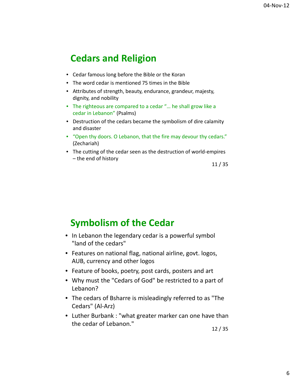## **Cedars and Religion**

- Cedar famous long before the Bible or the Koran
- The word cedar is mentioned 75 times in the Bible
- Attributes of strength, beauty, endurance, grandeur, majesty, dignity, and nobility
- The righteous are compared to a cedar "… he shall grow like a cedar in Lebanon" (Psalms)
- Destruction of the cedars became the symbolism of dire calamity and disaster
- "Open thy doors. O Lebanon, that the fire may devour thy cedars." (Zechariah)
- The cutting of the cedar seen as the destruction of world-empires – the end of history

11 / 35

#### **Symbolism of the Cedar**

- In Lebanon the legendary cedar is a powerful symbol "land of the cedars"
- Features on national flag, national airline, govt. logos, AUB, currency and other logos
- Feature of books, poetry, post cards, posters and art
- Why must the "Cedars of God" be restricted to a part of Lebanon?
- The cedars of Bsharre is misleadingly referred to as "The Cedars" (Al‐Arz)
- Luther Burbank : "what greater marker can one have than the cedar of Lebanon."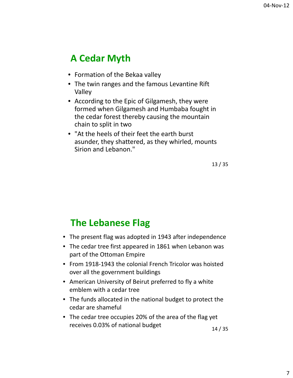# **A Cedar Myth**

- Formation of the Bekaa valley
- The twin ranges and the famous Levantine Rift Valley
- According to the Epic of Gilgamesh, they were formed when Gilgamesh and Humbaba fought in the cedar forest thereby causing the mountain chain to split in two
- "At the heels of their feet the earth burst asunder, they shattered, as they whirled, mounts Sirion and Lebanon."

13 / 35

## **The Lebanese Flag**

- The present flag was adopted in 1943 after independence
- The cedar tree first appeared in 1861 when Lebanon was part of the Ottoman Empire
- From 1918‐1943 the colonial French Tricolor was hoisted over all the government buildings
- American University of Beirut preferred to fly a white emblem with a cedar tree
- The funds allocated in the national budget to protect the cedar are shameful
- The cedar tree occupies 20% of the area of the flag yet receives 0.03% of national budget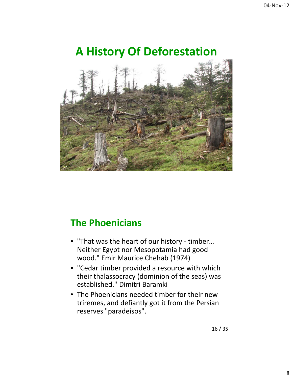# **A History Of Deforestation**



## **The Phoenicians**

- "That was the heart of our history ‐ timber… Neither Egypt nor Mesopotamia had good wood." Emir Maurice Chehab (1974)
- "Cedar timber provided a resource with which their thalassocracy (dominion of the seas) was established." Dimitri Baramki
- The Phoenicians needed timber for their new triremes, and defiantly got it from the Persian reserves "paradeisos".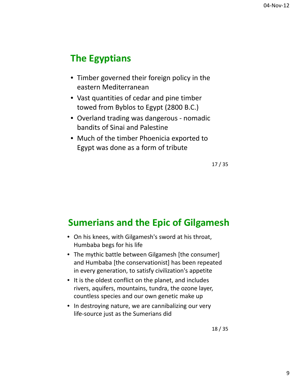# **The Egyptians**

- Timber governed their foreign policy in the eastern Mediterranean
- Vast quantities of cedar and pine timber towed from Byblos to Egypt (2800 B.C.)
- Overland trading was dangerous nomadic bandits of Sinai and Palestine
- Much of the timber Phoenicia exported to Egypt was done as a form of tribute

17 / 35

## **Sumerians and the Epic of Gilgamesh**

- On his knees, with Gilgamesh's sword at his throat, Humbaba begs for his life
- The mythic battle between Gilgamesh [the consumer] and Humbaba [the conservationist] has been repeated in every generation, to satisfy civilization's appetite
- It is the oldest conflict on the planet, and includes rivers, aquifers, mountains, tundra, the ozone layer, countless species and our own genetic make up
- In destroying nature, we are cannibalizing our very life‐source just as the Sumerians did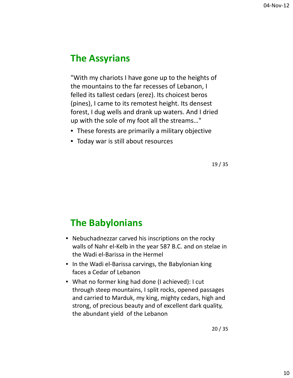## **The Assyrians**

"With my chariots I have gone up to the heights of the mountains to the far recesses of Lebanon, I felled its tallest cedars (erez). Its choicest beros (pines), I came to its remotest height. Its densest forest, I dug wells and drank up waters. And I dried up with the sole of my foot all the streams…"

- These forests are primarily a military objective
- Today war is still about resources

19 / 35

## **The Babylonians**

- Nebuchadnezzar carved his inscriptions on the rocky walls of Nahr el‐Kelb in the year 587 B.C. and on stelae in the Wadi el‐Barissa in the Hermel
- In the Wadi el-Barissa carvings, the Babylonian king faces a Cedar of Lebanon
- What no former king had done (I achieved): I cut through steep mountains, I split rocks, opened passages and carried to Marduk, my king, mighty cedars, high and strong, of precious beauty and of excellent dark quality, the abundant yield of the Lebanon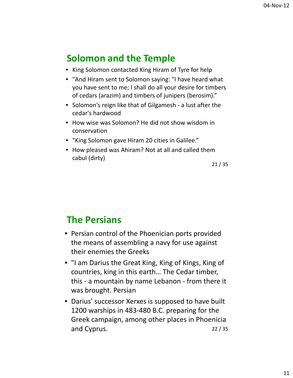# **Solomon and the Temple**

- King Solomon contacted King Hiram of Tyre for help
- "And Hiram sent to Solomon saying: "I have heard what you have sent to me; I shall do all your desire for timbers of cedars (arazim) and timbers of junipers (berosim)."
- Solomon's reign like that of Gilgamesh ‐ a lust after the cedar's hardwood
- How wise was Solomon? He did not show wisdom in conservation
- "King Solomon gave Hiram 20 cities in Galilee."
- How pleased was Ahiram? Not at all and called them cabul (dirty)

21 / 35

#### **The Persians**

- Persian control of the Phoenician ports provided the means of assembling a navy for use against their enemies the Greeks
- "I am Darius the Great King, King of Kings, King of countries, king in this earth… The Cedar timber, this ‐ a mountain by name Lebanon ‐ from there it was brought. Persian
- 22 / 35 • Darius' successor Xerxes is supposed to have built 1200 warships in 483‐480 B.C. preparing for the Greek campaign, among other places in Phoenicia and Cyprus.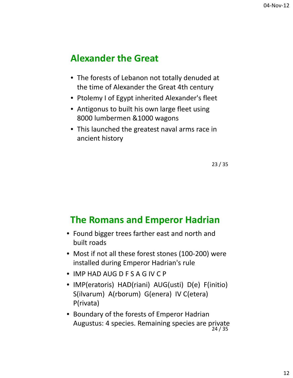#### **Alexander the Great**

- The forests of Lebanon not totally denuded at the time of Alexander the Great 4th century
- Ptolemy I of Egypt inherited Alexander's fleet
- Antigonus to built his own large fleet using 8000 lumbermen &1000 wagons
- This launched the greatest naval arms race in ancient history

23 / 35

#### **The Romans and Emperor Hadrian**

- Found bigger trees farther east and north and built roads
- Most if not all these forest stones (100-200) were installed during Emperor Hadrian's rule
- IMP HAD AUG D F S A G IV C P
- IMP(eratoris) HAD(riani) AUG(usti) D(e) F(initio) S(ilvarum) A(rborum) G(enera) IV C(etera) P(rivata)
- 24 / 35 • Boundary of the forests of Emperor Hadrian Augustus: 4 species. Remaining species are private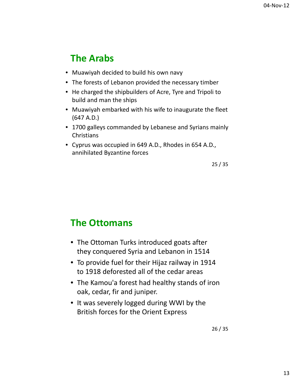## **The Arabs**

- Muawiyah decided to build his own navy
- The forests of Lebanon provided the necessary timber
- He charged the shipbuilders of Acre, Tyre and Tripoli to build and man the ships
- Muawiyah embarked with his wife to inaugurate the fleet (647 A.D.)
- 1700 galleys commanded by Lebanese and Syrians mainly **Christians**
- Cyprus was occupied in 649 A.D., Rhodes in 654 A.D., annihilated Byzantine forces

25 / 35

#### **The Ottomans**

- The Ottoman Turks introduced goats after they conquered Syria and Lebanon in 1514
- To provide fuel for their Hijaz railway in 1914 to 1918 deforested all of the cedar areas
- The Kamou'a forest had healthy stands of iron oak, cedar, fir and juniper.
- It was severely logged during WWI by the British forces for the Orient Express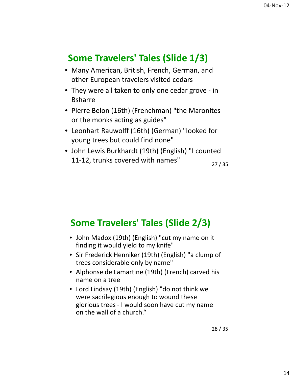# **Some Travelers' Tales (Slide 1/3)**

- Many American, British, French, German, and other European travelers visited cedars
- They were all taken to only one cedar grove in Bsharre
- Pierre Belon (16th) (Frenchman) "the Maronites or the monks acting as guides"
- Leonhart Rauwolff (16th) (German) "looked for young trees but could find none"
- John Lewis Burkhardt (19th) (English) "I counted 11‐12, trunks covered with names"

27 / 35

# **Some Travelers' Tales (Slide 2/3)**

- John Madox (19th) (English) "cut my name on it finding it would yield to my knife"
- Sir Frederick Henniker (19th) (English) "a clump of trees considerable only by name"
- Alphonse de Lamartine (19th) (French) carved his name on a tree
- Lord Lindsay (19th) (English) "do not think we were sacrilegious enough to wound these glorious trees ‐ I would soon have cut my name on the wall of a church."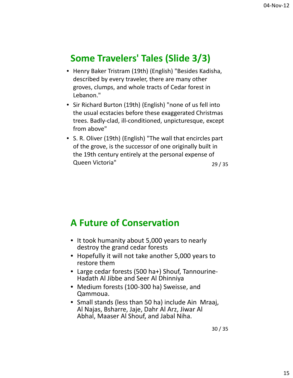#### **Some Travelers' Tales (Slide 3/3)**

- Henry Baker Tristram (19th) (English) "Besides Kadisha, described by every traveler, there are many other groves, clumps, and whole tracts of Cedar forest in Lebanon."
- Sir Richard Burton (19th) (English) "none of us fell into the usual ecstacies before these exaggerated Christmas trees. Badly‐clad, ill‐conditioned, unpicturesque, except from above"
- 29 / 35 • S. R. Oliver (19th) (English) "The wall that encircles part of the grove, is the successor of one originally built in the 19th century entirely at the personal expense of Queen Victoria"

#### **A Future of Conservation**

- It took humanity about 5,000 years to nearly destroy the grand cedar forests
- Hopefully it will not take another 5,000 years to restore them
- Large cedar forests (500 ha+) Shouf, Tannourine‐ Hadath Al Jibbe and Seer Al Dhinniya
- Medium forests (100-300 ha) Sweisse, and Qammoua.
- Small stands (less than 50 ha) include Ain Mraaj, Al Najas, Bsharre, Jaje, Dahr Al Arz, Jiwar Al Abhal, Maaser Al Shouf, and Jabal Niha.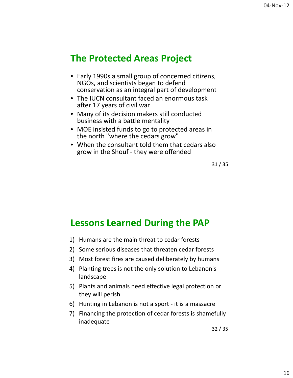#### **The Protected Areas Project**

- Early 1990s a small group of concerned citizens, NGOs, and scientists began to defend conservation as an integral part of development
- The IUCN consultant faced an enormous task after 17 years of civil war
- Many of its decision makers still conducted business with a battle mentality
- MOE insisted funds to go to protected areas in the north "where the cedars grow"
- When the consultant told them that cedars also grow in the Shouf ‐ they were offended

31 / 35

#### **Lessons Learned During the PAP**

- 1) Humans are the main threat to cedar forests
- 2) Some serious diseases that threaten cedar forests
- 3) Most forest fires are caused deliberately by humans
- 4) Planting trees is not the only solution to Lebanon's landscape
- 5) Plants and animals need effective legal protection or they will perish
- 6) Hunting in Lebanon is not a sport ‐ it is a massacre
- 7) Financing the protection of cedar forests is shamefully inadequate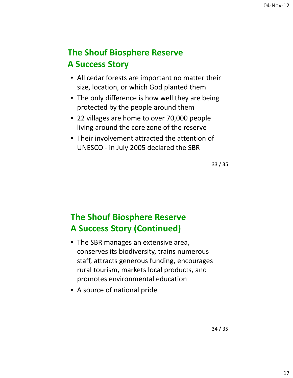#### **The Shouf Biosphere Reserve A Success Story**

- All cedar forests are important no matter their size, location, or which God planted them
- The only difference is how well they are being protected by the people around them
- 22 villages are home to over 70,000 people living around the core zone of the reserve
- Their involvement attracted the attention of UNESCO ‐ in July 2005 declared the SBR

33 / 35

#### **The Shouf Biosphere Reserve A Success Story (Continued)**

- The SBR manages an extensive area, conserves its biodiversity, trains numerous staff, attracts generous funding, encourages rural tourism, markets local products, and promotes environmental education
- A source of national pride